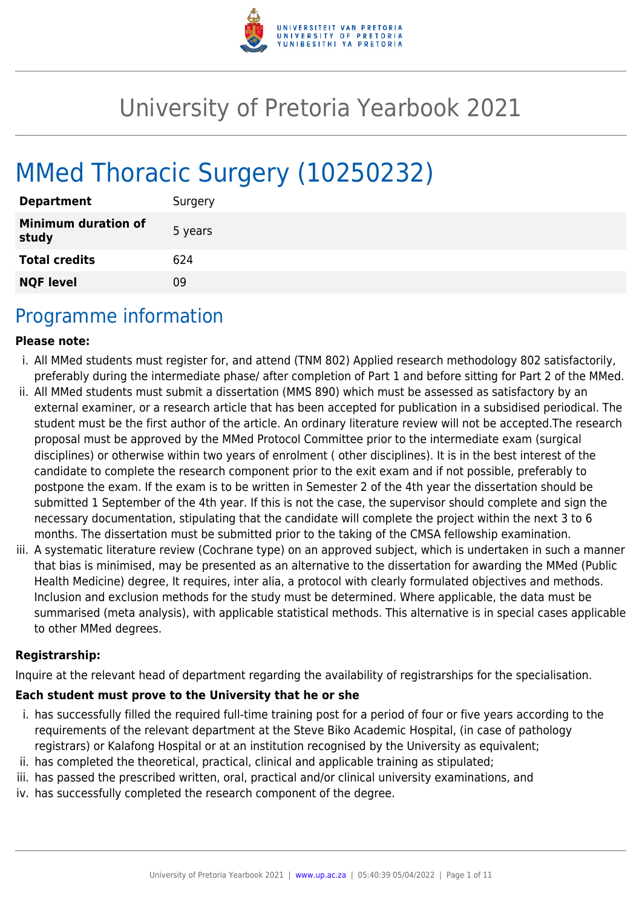

# University of Pretoria Yearbook 2021

# MMed Thoracic Surgery (10250232)

| <b>Department</b>                   | Surgery |
|-------------------------------------|---------|
| <b>Minimum duration of</b><br>study | 5 years |
| <b>Total credits</b>                | 624     |
| <b>NQF level</b>                    | Ωd      |

# Programme information

#### **Please note:**

- i. All MMed students must register for, and attend (TNM 802) Applied research methodology 802 satisfactorily, preferably during the intermediate phase/ after completion of Part 1 and before sitting for Part 2 of the MMed.
- ii. All MMed students must submit a dissertation (MMS 890) which must be assessed as satisfactory by an external examiner, or a research article that has been accepted for publication in a subsidised periodical. The student must be the first author of the article. An ordinary literature review will not be accepted.The research proposal must be approved by the MMed Protocol Committee prior to the intermediate exam (surgical disciplines) or otherwise within two years of enrolment ( other disciplines). It is in the best interest of the candidate to complete the research component prior to the exit exam and if not possible, preferably to postpone the exam. If the exam is to be written in Semester 2 of the 4th year the dissertation should be submitted 1 September of the 4th year. If this is not the case, the supervisor should complete and sign the necessary documentation, stipulating that the candidate will complete the project within the next 3 to 6 months. The dissertation must be submitted prior to the taking of the CMSA fellowship examination.
- iii. A systematic literature review (Cochrane type) on an approved subject, which is undertaken in such a manner that bias is minimised, may be presented as an alternative to the dissertation for awarding the MMed (Public Health Medicine) degree, It requires, inter alia, a protocol with clearly formulated objectives and methods. Inclusion and exclusion methods for the study must be determined. Where applicable, the data must be summarised (meta analysis), with applicable statistical methods. This alternative is in special cases applicable to other MMed degrees.

#### **Registrarship:**

Inquire at the relevant head of department regarding the availability of registrarships for the specialisation.

#### **Each student must prove to the University that he or she**

- i. has successfully filled the required full-time training post for a period of four or five years according to the requirements of the relevant department at the Steve Biko Academic Hospital, (in case of pathology registrars) or Kalafong Hospital or at an institution recognised by the University as equivalent;
- ii. has completed the theoretical, practical, clinical and applicable training as stipulated;
- iii. has passed the prescribed written, oral, practical and/or clinical university examinations, and
- iv. has successfully completed the research component of the degree.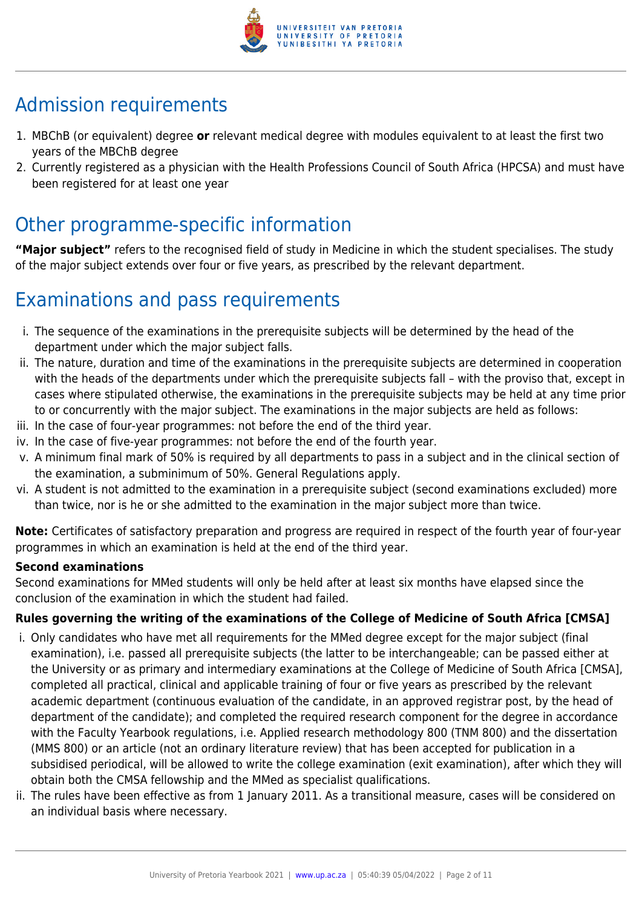

# Admission requirements

- 1. MBChB (or equivalent) degree **or** relevant medical degree with modules equivalent to at least the first two years of the MBChB degree
- 2. Currently registered as a physician with the Health Professions Council of South Africa (HPCSA) and must have been registered for at least one year

# Other programme-specific information

**"Major subject"** refers to the recognised field of study in Medicine in which the student specialises. The study of the major subject extends over four or five years, as prescribed by the relevant department.

# Examinations and pass requirements

- i. The sequence of the examinations in the prerequisite subjects will be determined by the head of the department under which the major subject falls.
- ii. The nature, duration and time of the examinations in the prerequisite subjects are determined in cooperation with the heads of the departments under which the prerequisite subjects fall – with the proviso that, except in cases where stipulated otherwise, the examinations in the prerequisite subjects may be held at any time prior to or concurrently with the major subject. The examinations in the major subjects are held as follows:
- iii. In the case of four-year programmes: not before the end of the third year.
- iv. In the case of five-year programmes: not before the end of the fourth year.
- v. A minimum final mark of 50% is required by all departments to pass in a subject and in the clinical section of the examination, a subminimum of 50%. General Regulations apply.
- vi. A student is not admitted to the examination in a prerequisite subject (second examinations excluded) more than twice, nor is he or she admitted to the examination in the major subject more than twice.

**Note:** Certificates of satisfactory preparation and progress are required in respect of the fourth year of four-year programmes in which an examination is held at the end of the third year.

#### **Second examinations**

Second examinations for MMed students will only be held after at least six months have elapsed since the conclusion of the examination in which the student had failed.

#### **Rules governing the writing of the examinations of the College of Medicine of South Africa [CMSA]**

- i. Only candidates who have met all requirements for the MMed degree except for the major subject (final examination), i.e. passed all prerequisite subjects (the latter to be interchangeable; can be passed either at the University or as primary and intermediary examinations at the College of Medicine of South Africa [CMSA], completed all practical, clinical and applicable training of four or five years as prescribed by the relevant academic department (continuous evaluation of the candidate, in an approved registrar post, by the head of department of the candidate); and completed the required research component for the degree in accordance with the Faculty Yearbook regulations, i.e. Applied research methodology 800 (TNM 800) and the dissertation (MMS 800) or an article (not an ordinary literature review) that has been accepted for publication in a subsidised periodical, will be allowed to write the college examination (exit examination), after which they will obtain both the CMSA fellowship and the MMed as specialist qualifications.
- ii. The rules have been effective as from 1 January 2011. As a transitional measure, cases will be considered on an individual basis where necessary.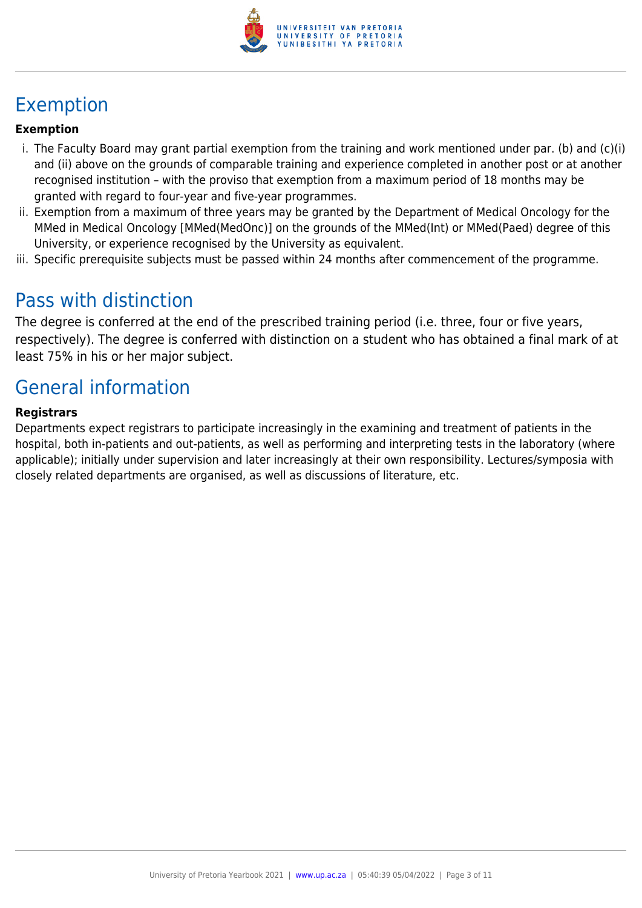

# Exemption

#### **Exemption**

- i. The Faculty Board may grant partial exemption from the training and work mentioned under par. (b) and (c)(i) and (ii) above on the grounds of comparable training and experience completed in another post or at another recognised institution – with the proviso that exemption from a maximum period of 18 months may be granted with regard to four-year and five-year programmes.
- ii. Exemption from a maximum of three years may be granted by the Department of Medical Oncology for the MMed in Medical Oncology [MMed(MedOnc)] on the grounds of the MMed(Int) or MMed(Paed) degree of this University, or experience recognised by the University as equivalent.
- iii. Specific prerequisite subjects must be passed within 24 months after commencement of the programme.

## Pass with distinction

The degree is conferred at the end of the prescribed training period (i.e. three, four or five years, respectively). The degree is conferred with distinction on a student who has obtained a final mark of at least 75% in his or her major subject.

# General information

#### **Registrars**

Departments expect registrars to participate increasingly in the examining and treatment of patients in the hospital, both in-patients and out-patients, as well as performing and interpreting tests in the laboratory (where applicable); initially under supervision and later increasingly at their own responsibility. Lectures/symposia with closely related departments are organised, as well as discussions of literature, etc.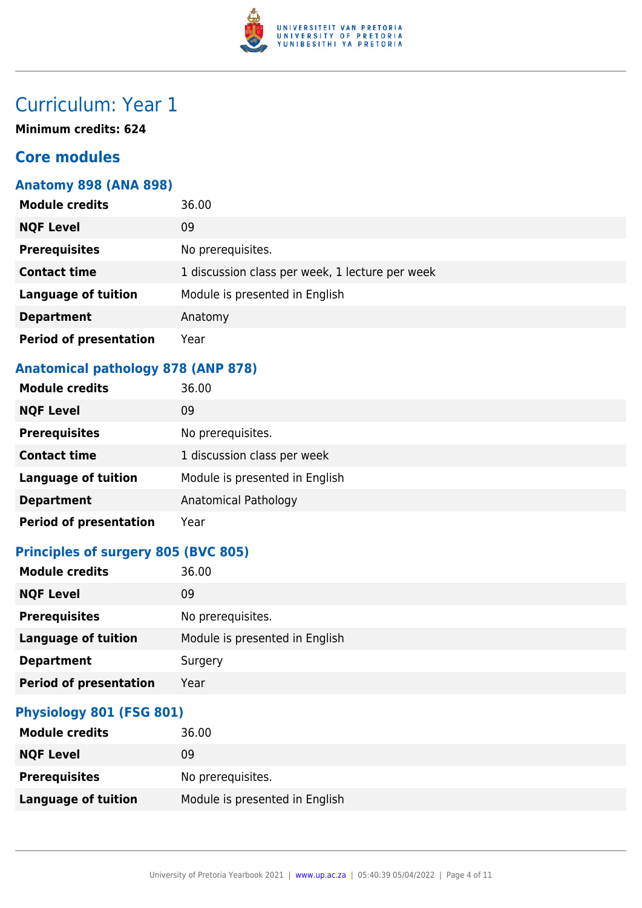

**Minimum credits: 624**

### **Core modules**

#### **Anatomy 898 (ANA 898)**

| <b>Module credits</b>         | 36.00                                           |
|-------------------------------|-------------------------------------------------|
| <b>NQF Level</b>              | 09                                              |
| <b>Prerequisites</b>          | No prerequisites.                               |
| <b>Contact time</b>           | 1 discussion class per week, 1 lecture per week |
| <b>Language of tuition</b>    | Module is presented in English                  |
| <b>Department</b>             | Anatomy                                         |
| <b>Period of presentation</b> | Year                                            |

### **Anatomical pathology 878 (ANP 878)**

| <b>Module credits</b>         | 36.00                          |
|-------------------------------|--------------------------------|
| <b>NQF Level</b>              | 09                             |
| <b>Prerequisites</b>          | No prerequisites.              |
| <b>Contact time</b>           | 1 discussion class per week    |
| <b>Language of tuition</b>    | Module is presented in English |
| <b>Department</b>             | Anatomical Pathology           |
| <b>Period of presentation</b> | Year                           |

### **Principles of surgery 805 (BVC 805)**

| <b>Module credits</b>         | 36.00                          |
|-------------------------------|--------------------------------|
| <b>NQF Level</b>              | 09                             |
| <b>Prerequisites</b>          | No prerequisites.              |
| <b>Language of tuition</b>    | Module is presented in English |
| <b>Department</b>             | Surgery                        |
| <b>Period of presentation</b> | Year                           |

#### **Physiology 801 (FSG 801)**

| <b>Module credits</b>      | 36.00                          |
|----------------------------|--------------------------------|
| <b>NQF Level</b>           | 09                             |
| <b>Prerequisites</b>       | No prerequisites.              |
| <b>Language of tuition</b> | Module is presented in English |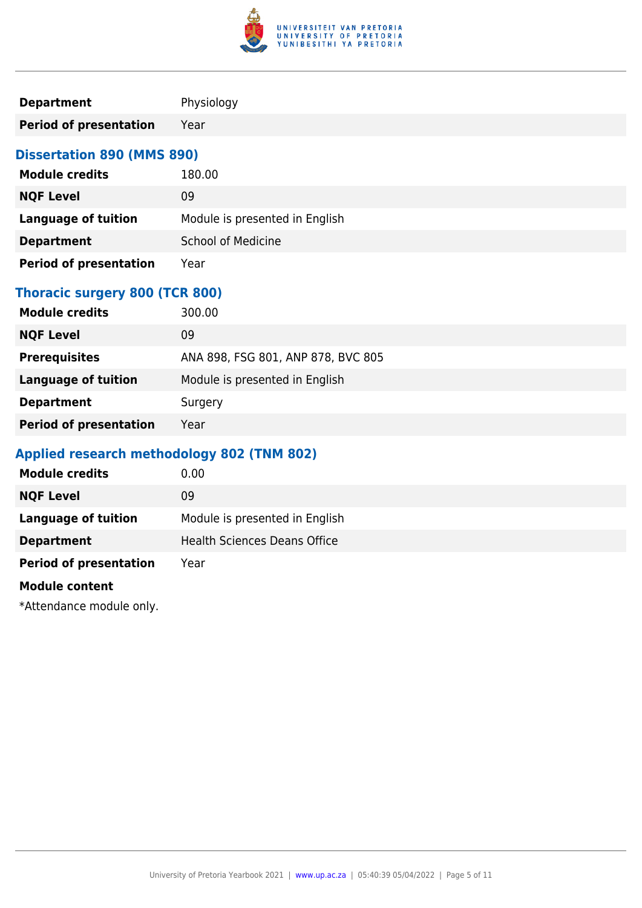

| <b>Department</b>                          | Physiology                         |
|--------------------------------------------|------------------------------------|
| <b>Period of presentation</b>              | Year                               |
| <b>Dissertation 890 (MMS 890)</b>          |                                    |
| <b>Module credits</b>                      | 180.00                             |
| <b>NQF Level</b>                           | 09                                 |
| <b>Language of tuition</b>                 | Module is presented in English     |
| <b>Department</b>                          | <b>School of Medicine</b>          |
| <b>Period of presentation</b>              | Year                               |
| <b>Thoracic surgery 800 (TCR 800)</b>      |                                    |
| <b>Module credits</b>                      | 300.00                             |
| <b>NQF Level</b>                           | 09                                 |
| <b>Prerequisites</b>                       | ANA 898, FSG 801, ANP 878, BVC 805 |
| <b>Language of tuition</b>                 | Module is presented in English     |
| <b>Department</b>                          | Surgery                            |
| <b>Period of presentation</b>              | Year                               |
| Applied research methodology 802 (TNM 802) |                                    |
| <b>Module credits</b>                      | 0.00                               |

| <b>Module credits</b>         | 0.00                                |
|-------------------------------|-------------------------------------|
| <b>NQF Level</b>              | 09                                  |
| <b>Language of tuition</b>    | Module is presented in English      |
| <b>Department</b>             | <b>Health Sciences Deans Office</b> |
| <b>Period of presentation</b> | Year                                |
| <b>Module content</b>         |                                     |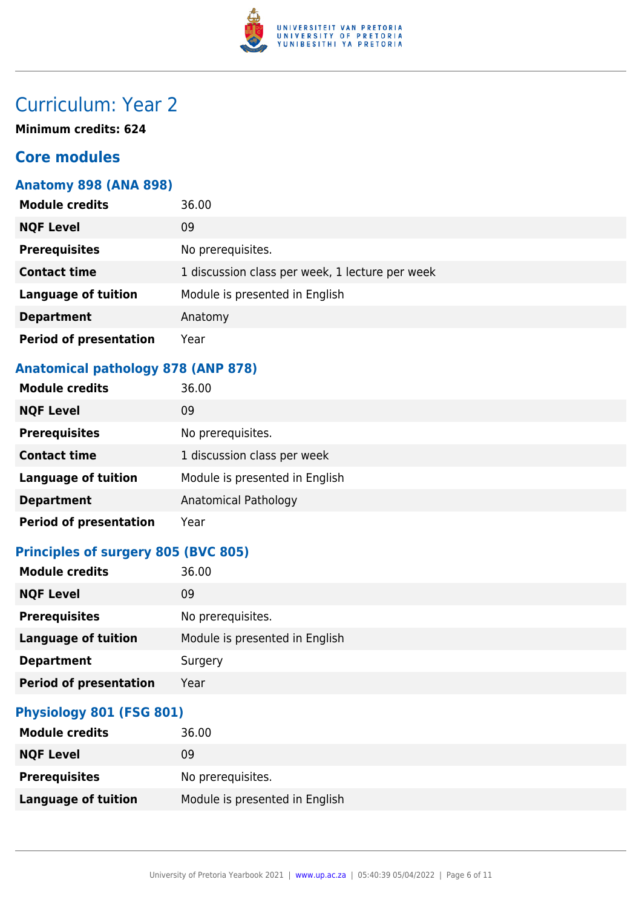

**Minimum credits: 624**

### **Core modules**

#### **Anatomy 898 (ANA 898)**

| <b>Module credits</b>         | 36.00                                           |
|-------------------------------|-------------------------------------------------|
| <b>NQF Level</b>              | 09                                              |
| <b>Prerequisites</b>          | No prerequisites.                               |
| <b>Contact time</b>           | 1 discussion class per week, 1 lecture per week |
| <b>Language of tuition</b>    | Module is presented in English                  |
| <b>Department</b>             | Anatomy                                         |
| <b>Period of presentation</b> | Year                                            |

### **Anatomical pathology 878 (ANP 878)**

| <b>Module credits</b>         | 36.00                          |
|-------------------------------|--------------------------------|
| <b>NQF Level</b>              | 09                             |
| <b>Prerequisites</b>          | No prerequisites.              |
| <b>Contact time</b>           | 1 discussion class per week    |
| <b>Language of tuition</b>    | Module is presented in English |
| <b>Department</b>             | Anatomical Pathology           |
| <b>Period of presentation</b> | Year                           |

## **Principles of surgery 805 (BVC 805)**

| <b>NQF Level</b><br>09<br><b>Prerequisites</b><br>No prerequisites. |
|---------------------------------------------------------------------|
|                                                                     |
|                                                                     |
| Module is presented in English<br><b>Language of tuition</b>        |
| <b>Department</b><br>Surgery                                        |
| <b>Period of presentation</b><br>Year                               |

#### **Physiology 801 (FSG 801)**

| <b>Module credits</b> | 36.00                          |
|-----------------------|--------------------------------|
| <b>NQF Level</b>      | 09                             |
| <b>Prerequisites</b>  | No prerequisites.              |
| Language of tuition   | Module is presented in English |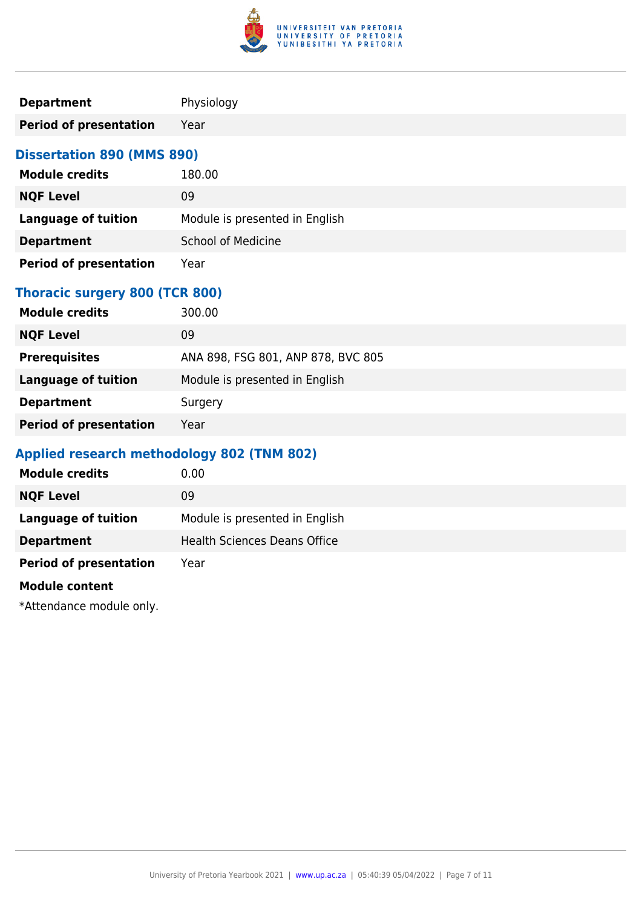

| <b>Department</b>                          | Physiology                         |
|--------------------------------------------|------------------------------------|
| <b>Period of presentation</b>              | Year                               |
| <b>Dissertation 890 (MMS 890)</b>          |                                    |
| <b>Module credits</b>                      | 180.00                             |
| <b>NQF Level</b>                           | 09                                 |
| <b>Language of tuition</b>                 | Module is presented in English     |
| <b>Department</b>                          | <b>School of Medicine</b>          |
| <b>Period of presentation</b>              | Year                               |
| <b>Thoracic surgery 800 (TCR 800)</b>      |                                    |
| <b>Module credits</b>                      | 300.00                             |
| <b>NQF Level</b>                           | 09                                 |
| <b>Prerequisites</b>                       | ANA 898, FSG 801, ANP 878, BVC 805 |
| <b>Language of tuition</b>                 | Module is presented in English     |
| <b>Department</b>                          | Surgery                            |
| <b>Period of presentation</b>              | Year                               |
| Applied research methodology 802 (TNM 802) |                                    |
| <b>Module credits</b>                      | 0.00                               |

| <b>Module credits</b>         | 0.00                                |
|-------------------------------|-------------------------------------|
| <b>NQF Level</b>              | 09                                  |
| <b>Language of tuition</b>    | Module is presented in English      |
| <b>Department</b>             | <b>Health Sciences Deans Office</b> |
| <b>Period of presentation</b> | Year                                |
| <b>Module content</b>         |                                     |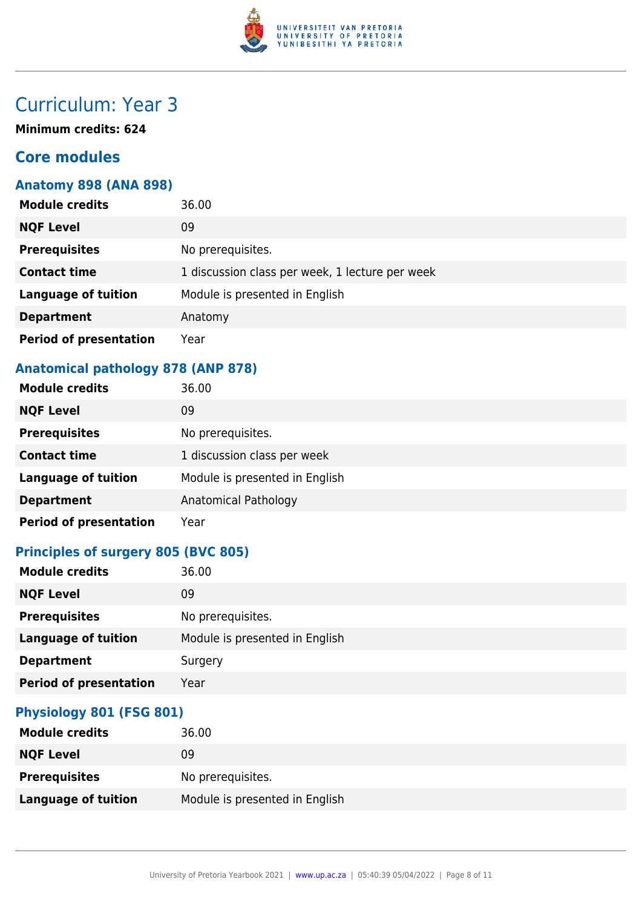

**Minimum credits: 624**

### **Core modules**

#### **Anatomy 898 (ANA 898)**

| <b>Module credits</b>         | 36.00                                           |
|-------------------------------|-------------------------------------------------|
| <b>NQF Level</b>              | 09                                              |
| <b>Prerequisites</b>          | No prerequisites.                               |
| <b>Contact time</b>           | 1 discussion class per week, 1 lecture per week |
| <b>Language of tuition</b>    | Module is presented in English                  |
| <b>Department</b>             | Anatomy                                         |
| <b>Period of presentation</b> | Year                                            |

### **Anatomical pathology 878 (ANP 878)**

| <b>Module credits</b>         | 36.00                          |
|-------------------------------|--------------------------------|
| <b>NQF Level</b>              | 09                             |
| <b>Prerequisites</b>          | No prerequisites.              |
| <b>Contact time</b>           | 1 discussion class per week    |
| <b>Language of tuition</b>    | Module is presented in English |
| <b>Department</b>             | Anatomical Pathology           |
| <b>Period of presentation</b> | Year                           |

## **Principles of surgery 805 (BVC 805)**

| <b>NQF Level</b><br>09<br><b>Prerequisites</b><br>No prerequisites. |
|---------------------------------------------------------------------|
|                                                                     |
|                                                                     |
| Module is presented in English<br><b>Language of tuition</b>        |
| <b>Department</b><br>Surgery                                        |
| <b>Period of presentation</b><br>Year                               |

#### **Physiology 801 (FSG 801)**

| <b>Module credits</b>      | 36.00                          |
|----------------------------|--------------------------------|
| <b>NQF Level</b>           | 09                             |
| <b>Prerequisites</b>       | No prerequisites.              |
| <b>Language of tuition</b> | Module is presented in English |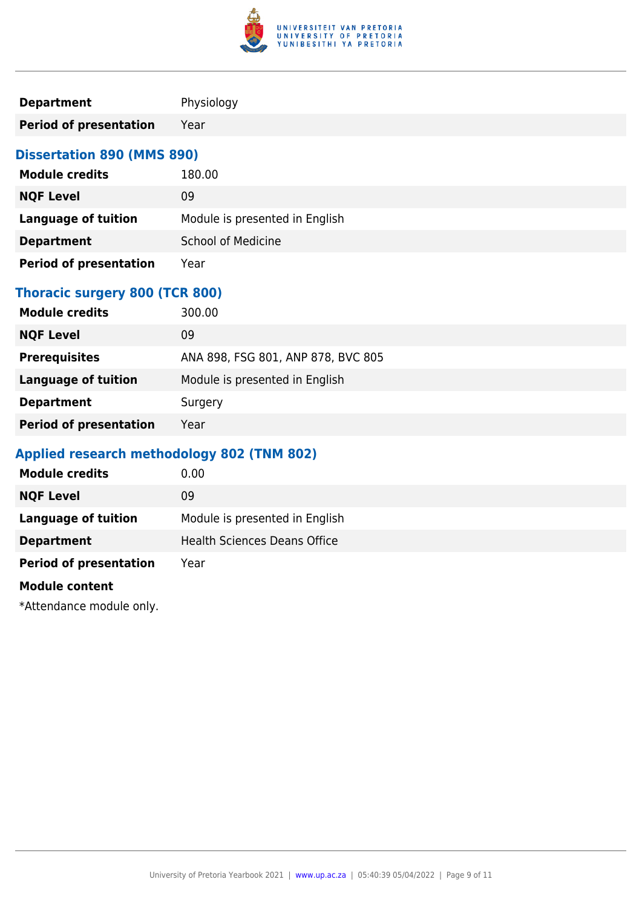

| <b>Department</b>                          | Physiology                         |
|--------------------------------------------|------------------------------------|
| <b>Period of presentation</b>              | Year                               |
| <b>Dissertation 890 (MMS 890)</b>          |                                    |
| <b>Module credits</b>                      | 180.00                             |
| <b>NQF Level</b>                           | 09                                 |
| <b>Language of tuition</b>                 | Module is presented in English     |
| <b>Department</b>                          | <b>School of Medicine</b>          |
| <b>Period of presentation</b>              | Year                               |
| <b>Thoracic surgery 800 (TCR 800)</b>      |                                    |
| <b>Module credits</b>                      | 300.00                             |
| <b>NQF Level</b>                           | 09                                 |
| <b>Prerequisites</b>                       | ANA 898, FSG 801, ANP 878, BVC 805 |
| <b>Language of tuition</b>                 | Module is presented in English     |
| <b>Department</b>                          | Surgery                            |
| <b>Period of presentation</b>              | Year                               |
| Applied research methodology 802 (TNM 802) |                                    |
| <b>Module credits</b>                      | 0.00                               |

| <b>Module credits</b>         | 0.00                                |
|-------------------------------|-------------------------------------|
| <b>NQF Level</b>              | 09                                  |
| <b>Language of tuition</b>    | Module is presented in English      |
| <b>Department</b>             | <b>Health Sciences Deans Office</b> |
| <b>Period of presentation</b> | Year                                |
| <b>Module content</b>         |                                     |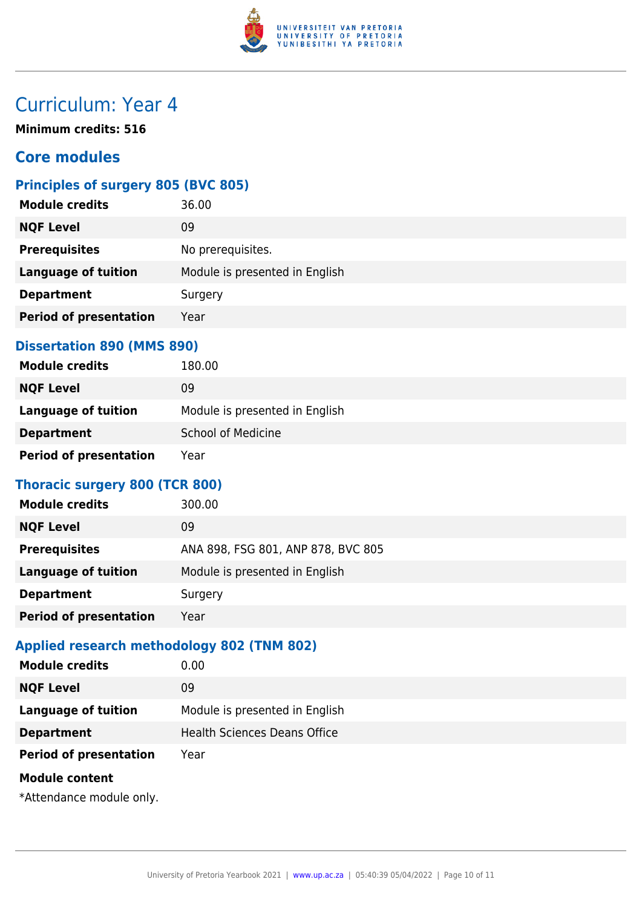

**Minimum credits: 516**

### **Core modules**

### **Principles of surgery 805 (BVC 805)**

| <b>Module credits</b>         | 36.00                          |
|-------------------------------|--------------------------------|
| <b>NQF Level</b>              | 09                             |
| <b>Prerequisites</b>          | No prerequisites.              |
| <b>Language of tuition</b>    | Module is presented in English |
| <b>Department</b>             | Surgery                        |
| <b>Period of presentation</b> | Year                           |
|                               |                                |

#### **Dissertation 890 (MMS 890)**

| <b>Module credits</b>         | 180.00                         |
|-------------------------------|--------------------------------|
| <b>NQF Level</b>              | 09                             |
| Language of tuition           | Module is presented in English |
| <b>Department</b>             | <b>School of Medicine</b>      |
| <b>Period of presentation</b> | Year                           |

### **Thoracic surgery 800 (TCR 800)**

| 300.00                             |
|------------------------------------|
| 09                                 |
| ANA 898, FSG 801, ANP 878, BVC 805 |
| Module is presented in English     |
| Surgery                            |
| Year                               |
|                                    |

#### **Applied research methodology 802 (TNM 802)**

| <b>Module credits</b>         | 0.00                                |
|-------------------------------|-------------------------------------|
| <b>NQF Level</b>              | 09                                  |
| <b>Language of tuition</b>    | Module is presented in English      |
| <b>Department</b>             | <b>Health Sciences Deans Office</b> |
| <b>Period of presentation</b> | Year                                |
| <b>Module content</b>         |                                     |
|                               |                                     |